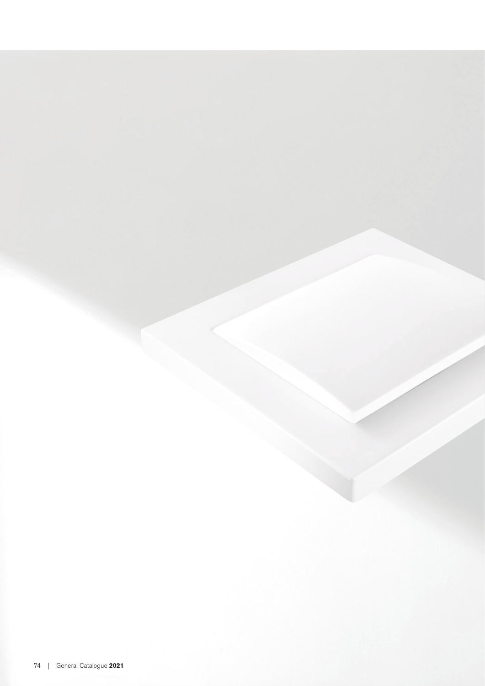74 | General Catalogue **2021**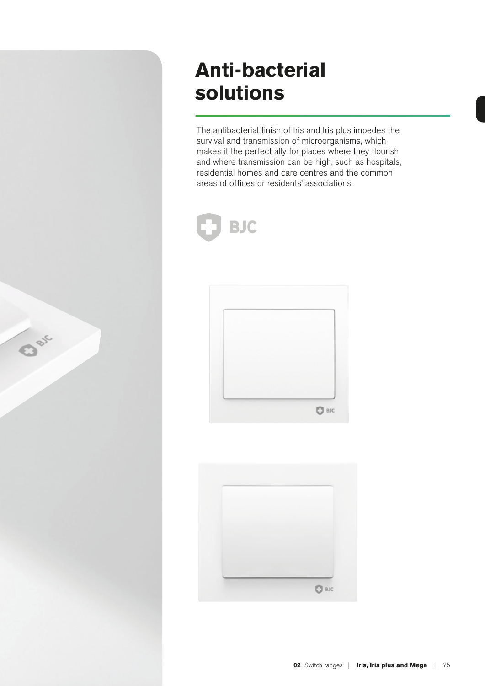# **Anti-bacterial solutions**

The antibacterial finish of Iris and Iris plus impedes the survival and transmission of microorganisms, which makes it the perfect ally for places where they flourish and where transmission can be high, such as hospitals, residential homes and care centres and the common areas of offices or residents' associations.



Ost of



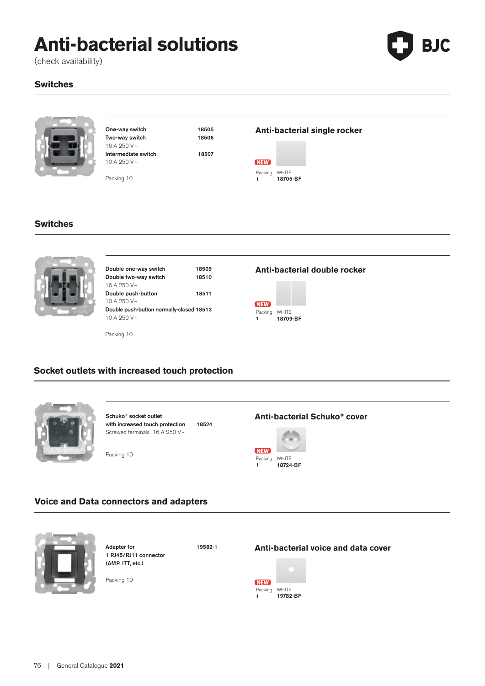## **Anti-bacterial solutions**

(check availability)

## **Switches**



#### **Switches**



| Double one-way switch                    | 18509 |
|------------------------------------------|-------|
| Double two-wav switch                    | 18510 |
| 16 A 250 V~                              |       |
| Double push-button                       | 18511 |
| 10 A $250$ V ~                           |       |
| Double push-button normally-closed 18513 |       |
| 10 A $250V -$                            |       |
|                                          |       |

Packing 10

#### **Anti-bacterial double rocker**

**BJC** 



### **Socket outlets with increased touch protection**



Schuko® socket outlet with increased touch protection 18524 Screwed terminals 16 A 250 V~

Packing 10

#### **Anti-bacterial Schuko® cover**



#### **Voice and Data connectors and adapters**



Adapter for 19582-1 1 RJ45/RJ11 connector (AMP, ITT, etc.)

Packing 10

#### **Anti-bacterial voice and data cover**